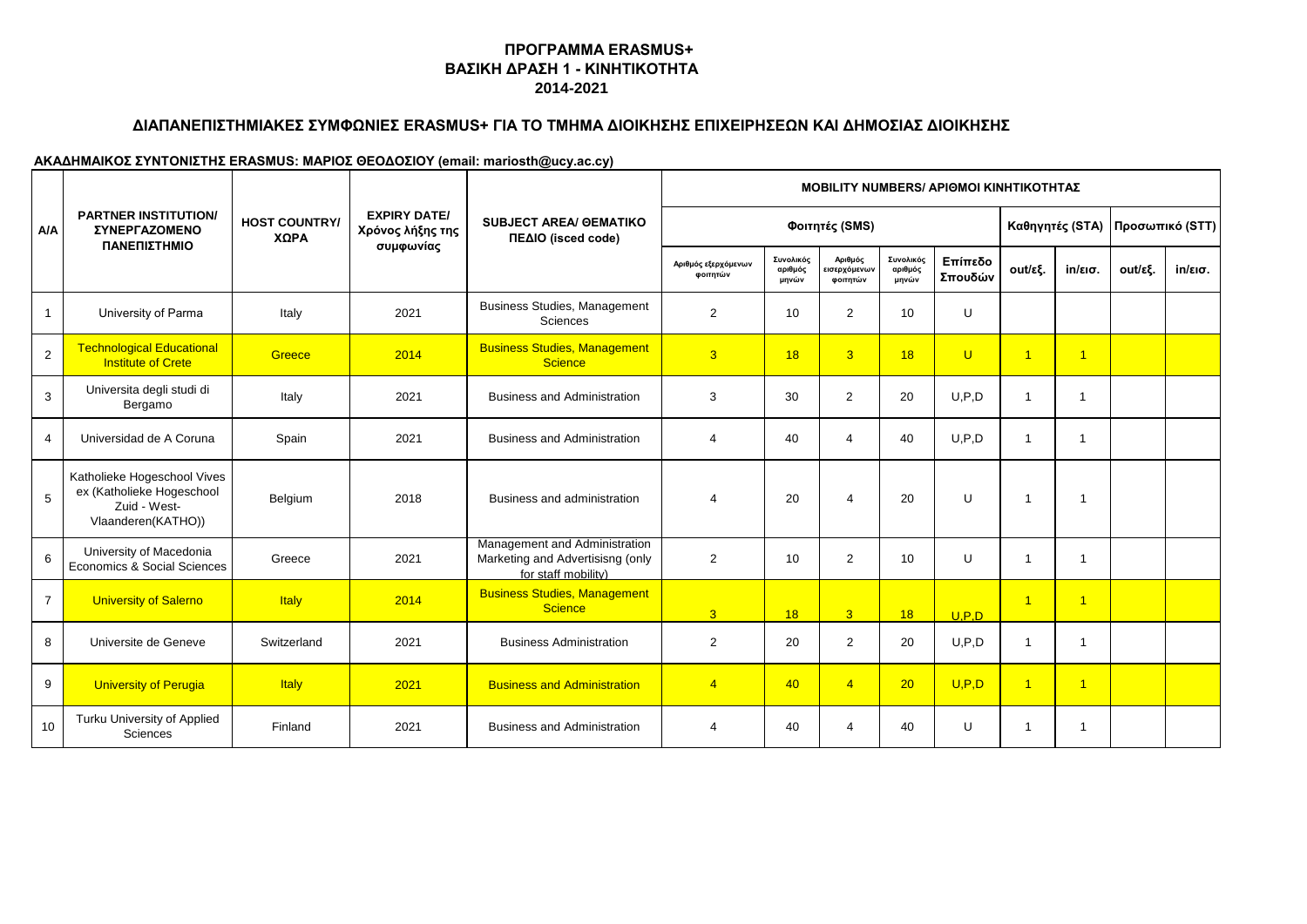# **ΔΙΑΠΑΝΕΠΙΣΤΗΜΙΑΚΕΣ ΣΥΜΦΩΝΙΕΣ ERASMUS+ ΓΙΑ ΤΟ ΤΜΗΜΑ ΔΙΟΙΚΗΣΗΣ ΕΠΙΧΕΙΡΗΣΕΩΝ ΚΑΙ ΔΗΜΟΣΙΑΣ ΔΙΟΙΚΗΣΗΣ**

|                |                                                                                                |                              |                                         |                                                                                          |                                 |                               |                                     |                               | <b>MOBILITY NUMBERS/ ΑΡΙΘΜΟΙ ΚΙΝΗΤΙΚΟΤΗΤΑΣ</b> |                 |                      |                 |                   |
|----------------|------------------------------------------------------------------------------------------------|------------------------------|-----------------------------------------|------------------------------------------------------------------------------------------|---------------------------------|-------------------------------|-------------------------------------|-------------------------------|------------------------------------------------|-----------------|----------------------|-----------------|-------------------|
| A/A            | <b>PARTNER INSTITUTION/</b><br><b><i>ΣΥΝΕΡΓΑΖΟΜΕΝΟ</i></b><br>ΠΑΝΕΠΙΣΤΗΜΙΟ                     | <b>HOST COUNTRY/</b><br>ΧΩΡΑ | <b>EXPIRY DATE/</b><br>Χρόνος λήξης της | <b>SUBJECT AREA/ OEMATIKO</b><br>ΠΕΔΙΟ (isced code)                                      |                                 |                               | Φοιτητές (SMS)                      |                               |                                                | Καθηγητές (STA) |                      | Προσωπικό (STT) |                   |
|                |                                                                                                |                              | συμφωνίας                               |                                                                                          | Αριθμός εξερχόμενων<br>φοιτητών | Συνολικός<br>αριθμός<br>μηνών | Αριθμός<br>εισερχόμενων<br>φοιτητών | Συνολικός<br>αριθμός<br>μηνών | Επίπεδο<br>Σπουδών                             | out/εξ.         | $in/\epsilon$ ισ.    | out/εξ.         | $in/\epsilon$ ισ. |
| $\mathbf{1}$   | University of Parma                                                                            | Italy                        | 2021                                    | <b>Business Studies, Management</b><br>Sciences                                          | 2                               | 10                            | $\overline{2}$                      | 10                            | U                                              |                 |                      |                 |                   |
| $\overline{2}$ | <b>Technological Educational</b><br><b>Institute of Crete</b>                                  | Greece                       | 2014                                    | <b>Business Studies, Management</b><br><b>Science</b>                                    | $\overline{3}$                  | 18                            | $\overline{3}$                      | 18                            | $\mathbf{U}$                                   | $\overline{1}$  | $\blacktriangleleft$ |                 |                   |
| 3              | Universita degli studi di<br>Bergamo                                                           | Italy                        | 2021                                    | <b>Business and Administration</b>                                                       | 3                               | 30                            | $\overline{2}$                      | 20                            | U.P.D                                          | $\overline{1}$  | 1                    |                 |                   |
| $\overline{4}$ | Universidad de A Coruna                                                                        | Spain                        | 2021                                    | <b>Business and Administration</b>                                                       | $\overline{4}$                  | 40                            | $\overline{4}$                      | 40                            | U.P.D                                          | $\mathbf{1}$    | 1                    |                 |                   |
| 5              | Katholieke Hogeschool Vives<br>ex (Katholieke Hogeschool<br>Zuid - West-<br>Vlaanderen(KATHO)) | Belgium                      | 2018                                    | Business and administration                                                              | $\overline{4}$                  | 20                            | $\overline{\mathbf{A}}$             | 20                            | $\cup$                                         | $\overline{1}$  | $\overline{1}$       |                 |                   |
| 6              | University of Macedonia<br>Economics & Social Sciences                                         | Greece                       | 2021                                    | Management and Administration<br>Marketing and Advertisisng (only<br>for staff mobility) | $\overline{2}$                  | 10                            | $\overline{2}$                      | 10                            | U                                              | $\overline{1}$  | $\overline{1}$       |                 |                   |
| $\overline{7}$ | <b>University of Salerno</b>                                                                   | <b>Italy</b>                 | 2014                                    | <b>Business Studies, Management</b><br><b>Science</b>                                    | 3 <sup>1</sup>                  | 18                            | $\overline{3}$                      | 18                            | U.P.D                                          | $\overline{1}$  | $\overline{1}$       |                 |                   |
| 8              | Universite de Geneve                                                                           | Switzerland                  | 2021                                    | <b>Business Administration</b>                                                           | 2                               | 20                            | $\overline{2}$                      | 20                            | U.P.D                                          | $\mathbf{1}$    | -1                   |                 |                   |
| 9              | <b>University of Perugia</b>                                                                   | <b>Italy</b>                 | 2021                                    | <b>Business and Administration</b>                                                       | $\overline{4}$                  | 40                            | $\overline{4}$                      | 20                            | U.P.D                                          | $\overline{1}$  | $\overline{1}$       |                 |                   |
| 10             | Turku University of Applied<br>Sciences                                                        | Finland                      | 2021                                    | <b>Business and Administration</b>                                                       | 4                               | 40                            | $\overline{\mathbf{A}}$             | 40                            | U                                              | $\mathbf{1}$    | $\overline{1}$       |                 |                   |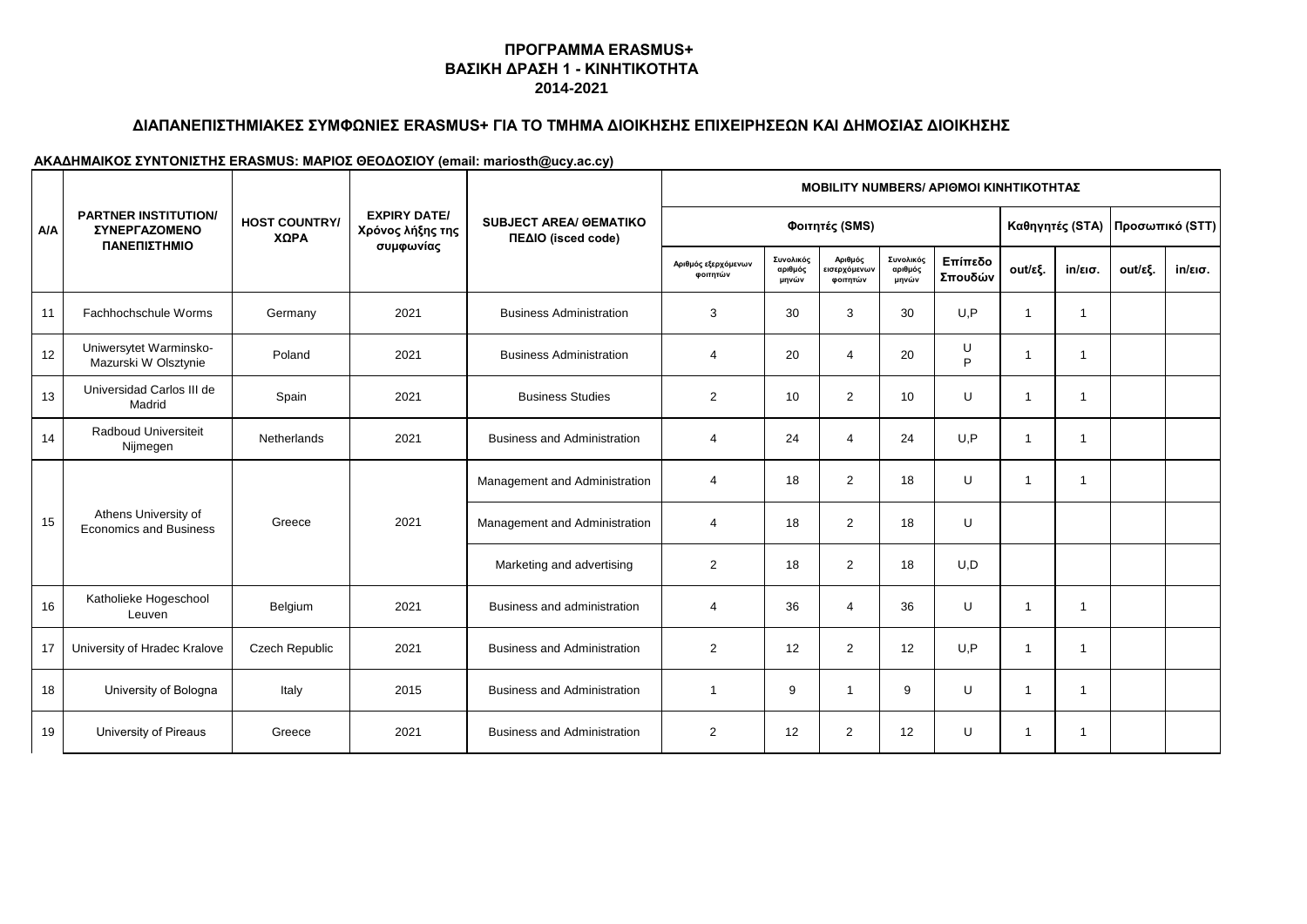# **ΔΙΑΠΑΝΕΠΙΣΤΗΜΙΑΚΕΣ ΣΥΜΦΩΝΙΕΣ ERASMUS+ ΓΙΑ ΤΟ ΤΜΗΜΑ ΔΙΟΙΚΗΣΗΣ ΕΠΙΧΕΙΡΗΣΕΩΝ ΚΑΙ ΔΗΜΟΣΙΑΣ ΔΙΟΙΚΗΣΗΣ**

|            |                                                                            |                              |                                                      |                                                     |                                 |                               |                                     |                               | <b>MOBILITY NUMBERS/ APIOMOI KINHTIKOTHTAZ</b> |                |                 |         |                   |  |
|------------|----------------------------------------------------------------------------|------------------------------|------------------------------------------------------|-----------------------------------------------------|---------------------------------|-------------------------------|-------------------------------------|-------------------------------|------------------------------------------------|----------------|-----------------|---------|-------------------|--|
| <b>A/A</b> | <b>PARTNER INSTITUTION/</b><br><b><i>ΣΥΝΕΡΓΑΖΟΜΕΝΟ</i></b><br>ΠΑΝΕΠΙΣΤΗΜΙΟ | <b>HOST COUNTRY/</b><br>ΧΩΡΑ | <b>EXPIRY DATE/</b><br>Χρόνος λήξης της<br>συμφωνίας | <b>SUBJECT AREA/ OEMATIKO</b><br>ΠΕΔΙΟ (isced code) | Φοιτητές (SMS)                  |                               |                                     |                               |                                                |                | Καθηγητές (STA) |         | Προσωπικό (STT)   |  |
|            |                                                                            |                              |                                                      |                                                     | Αριθμός εξερχόμενων<br>φοιτητών | Συνολικός<br>αριθμός<br>μηνών | Αριθμός<br>εισερχόμενων<br>φοιτητών | Συνολικός<br>αριθμός<br>μηνών | Επίπεδο<br>Σπουδών                             | out/εξ.        | in/εισ.         | out/εξ. | $in/\epsilon$ ισ. |  |
| 11         | Fachhochschule Worms                                                       | Germany                      | 2021                                                 | <b>Business Administration</b>                      | 3                               | 30                            | 3                                   | 30                            | U.P                                            | $\overline{1}$ | $\mathbf{1}$    |         |                   |  |
| 12         | Uniwersytet Warminsko-<br>Mazurski W Olsztynie                             | Poland                       | 2021                                                 | <b>Business Administration</b>                      | $\overline{\mathbf{4}}$         | 20                            | $\overline{4}$                      | 20                            | U<br>P                                         | $\overline{1}$ | 1               |         |                   |  |
| 13         | Universidad Carlos III de<br>Madrid                                        | Spain                        | 2021                                                 | <b>Business Studies</b>                             | 2                               | 10                            | 2                                   | 10                            | U                                              | $\overline{1}$ | $\mathbf{1}$    |         |                   |  |
| 14         | Radboud Universiteit<br>Nijmegen                                           | <b>Netherlands</b>           | 2021                                                 | <b>Business and Administration</b>                  | $\overline{4}$                  | 24                            | $\overline{4}$                      | 24                            | U, P                                           | $\overline{1}$ | 1               |         |                   |  |
|            | Athens University of<br><b>Economics and Business</b>                      | Greece                       |                                                      | Management and Administration                       | $\overline{4}$                  | 18                            | 2                                   | 18                            | U                                              | $\mathbf 1$    | 1               |         |                   |  |
| 15         |                                                                            |                              | 2021                                                 | Management and Administration                       | $\overline{4}$                  | 18                            | 2                                   | 18                            | U                                              |                |                 |         |                   |  |
|            |                                                                            |                              |                                                      | Marketing and advertising                           | $\overline{2}$                  | 18                            | 2                                   | 18                            | U, D                                           |                |                 |         |                   |  |
| 16         | Katholieke Hogeschool<br>Leuven                                            | Belgium                      | 2021                                                 | Business and administration                         | $\overline{4}$                  | 36                            | $\overline{4}$                      | 36                            | U                                              | $\mathbf 1$    | $\mathbf{1}$    |         |                   |  |
| 17         | University of Hradec Kralove                                               | <b>Czech Republic</b>        | 2021                                                 | <b>Business and Administration</b>                  | 2                               | 12                            | $\overline{2}$                      | 12                            | U.P                                            | $\overline{1}$ | 1               |         |                   |  |
| 18         | University of Bologna                                                      | Italy                        | 2015                                                 | <b>Business and Administration</b>                  | $\overline{\phantom{a}}$        | 9                             |                                     | 9                             | U                                              | $\overline{1}$ | $\mathbf{1}$    |         |                   |  |
| 19         | University of Pireaus                                                      | Greece                       | 2021                                                 | <b>Business and Administration</b>                  | 2                               | 12                            | $\overline{2}$                      | 12                            | U                                              | -1             | 1               |         |                   |  |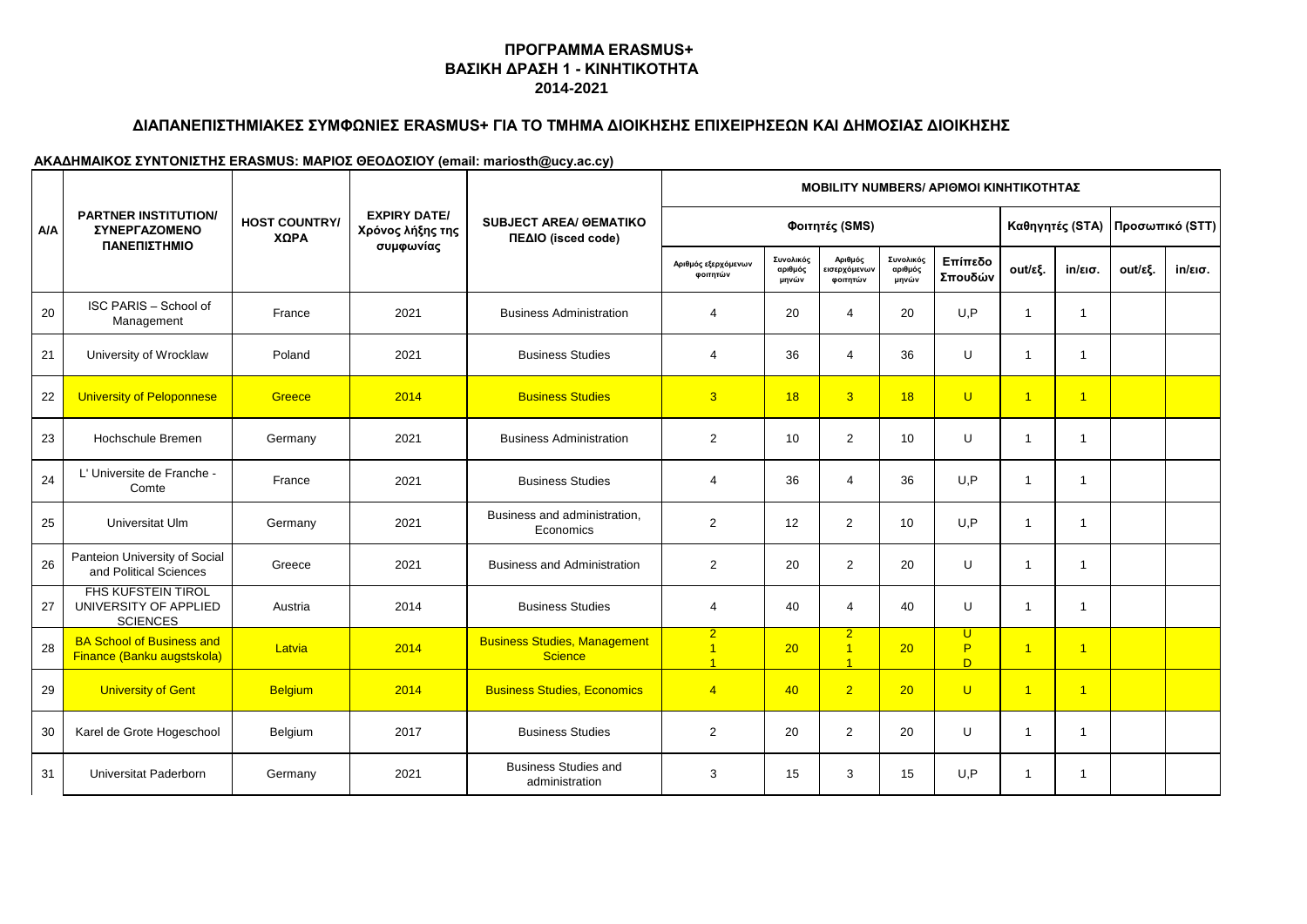# **ΔΙΑΠΑΝΕΠΙΣΤΗΜΙΑΚΕΣ ΣΥΜΦΩΝΙΕΣ ERASMUS+ ΓΙΑ ΤΟ ΤΜΗΜΑ ΔΙΟΙΚΗΣΗΣ ΕΠΙΧΕΙΡΗΣΕΩΝ ΚΑΙ ΔΗΜΟΣΙΑΣ ΔΙΟΙΚΗΣΗΣ**

|            |                                                                                                            |                                         |                                                     |                                                       | <b>MOBILITY NUMBERS/ APIOMOI KINHTIKOTHTAΣ</b>              |                               |                                                    |                               |                    |                 |                   |                 |                   |  |  |
|------------|------------------------------------------------------------------------------------------------------------|-----------------------------------------|-----------------------------------------------------|-------------------------------------------------------|-------------------------------------------------------------|-------------------------------|----------------------------------------------------|-------------------------------|--------------------|-----------------|-------------------|-----------------|-------------------|--|--|
| <b>A/A</b> | <b>PARTNER INSTITUTION/</b><br><b>HOST COUNTRY/</b><br><b><i>ΣΥΝΕΡΓΑΖΟΜΕΝΟ</i></b><br>ΧΩΡΑ<br>ΠΑΝΕΠΙΣΤΗΜΙΟ | <b>EXPIRY DATE/</b><br>Χρόνος λήξης της | <b>SUBJECT AREA/ OEMATIKO</b><br>ΠΕΔΙΟ (isced code) | Φοιτητές (SMS)                                        |                                                             |                               |                                                    |                               |                    | Καθηγητές (STA) |                   | Προσωπικό (STT) |                   |  |  |
|            |                                                                                                            |                                         | συμφωνίας                                           |                                                       | Αριθμός εξερχόμενων<br>φοιτητών                             | Συνολικός<br>αριθμός<br>μηνών | Αριθμός<br>εισερχόμενων<br>φοιτητών                | Συνολικός<br>αριθμός<br>μηνών | Επίπεδο<br>Σπουδών | out/εξ.         | $in/\epsilon$ ισ. | out/εξ.         | $in/\epsilon$ ισ. |  |  |
| 20         | ISC PARIS - School of<br>Management                                                                        | France                                  | 2021                                                | <b>Business Administration</b>                        | $\overline{\mathbf{4}}$                                     | 20                            | 4                                                  | 20                            | U.P                | $\overline{1}$  | $\mathbf{1}$      |                 |                   |  |  |
| 21         | University of Wrocklaw                                                                                     | Poland                                  | 2021                                                | <b>Business Studies</b>                               | $\overline{4}$                                              | 36                            | $\overline{4}$                                     | 36                            | $\cup$             | $\overline{1}$  | $\mathbf{1}$      |                 |                   |  |  |
| 22         | University of Peloponnese                                                                                  | Greece                                  | 2014                                                | <b>Business Studies</b>                               | 3                                                           | 18                            | 3 <sup>1</sup>                                     | 18                            | $\mathbf{U}$       | $\overline{1}$  | $\mathbf{1}$      |                 |                   |  |  |
| 23         | Hochschule Bremen                                                                                          | Germany                                 | 2021                                                | <b>Business Administration</b>                        | 2                                                           | 10                            | 2                                                  | 10                            | U                  | $\overline{1}$  | $\mathbf{1}$      |                 |                   |  |  |
| 24         | L' Universite de Franche -<br>Comte                                                                        | France                                  | 2021                                                | <b>Business Studies</b>                               | 4                                                           | 36                            | $\overline{4}$                                     | 36                            | U.P                | $\overline{1}$  | $\mathbf{1}$      |                 |                   |  |  |
| 25         | Universitat Ulm                                                                                            | Germany                                 | 2021                                                | Business and administration,<br>Economics             | 2                                                           | 12                            | $\overline{2}$                                     | 10                            | U.P                | $\overline{1}$  | $\mathbf{1}$      |                 |                   |  |  |
| 26         | Panteion University of Social<br>and Political Sciences                                                    | Greece                                  | 2021                                                | <b>Business and Administration</b>                    | $\overline{2}$                                              | 20                            | 2                                                  | 20                            | U                  | $\overline{1}$  | $\mathbf{1}$      |                 |                   |  |  |
| 27         | <b>FHS KUFSTEIN TIROL</b><br>UNIVERSITY OF APPLIED<br><b>SCIENCES</b>                                      | Austria                                 | 2014                                                | <b>Business Studies</b>                               | $\overline{4}$                                              | 40                            | $\overline{4}$                                     | 40                            | U                  | $\overline{1}$  | $\mathbf{1}$      |                 |                   |  |  |
| 28         | <b>BA School of Business and</b><br>Finance (Banku augstskola)                                             | Latvia                                  | 2014                                                | <b>Business Studies, Management</b><br><b>Science</b> | $\overline{2}$<br>$\overline{4}$<br>$\overline{\mathbf{A}}$ | 20                            | 2 <sup>2</sup><br>$\overline{1}$<br>$\overline{A}$ | 20 <sub>2</sub>               | U<br>P<br>D        | $\overline{1}$  | $\mathbf{1}$      |                 |                   |  |  |
| 29         | <b>University of Gent</b>                                                                                  | <b>Belgium</b>                          | 2014                                                | <b>Business Studies, Economics</b>                    | $\overline{4}$                                              | 40                            | $\overline{2}$                                     | 20                            | U                  | $\overline{1}$  | $\mathbf{1}$      |                 |                   |  |  |
| 30         | Karel de Grote Hogeschool                                                                                  | Belgium                                 | 2017                                                | <b>Business Studies</b>                               | 2                                                           | 20                            | $\overline{2}$                                     | 20                            | U                  | $\overline{1}$  | $\mathbf{1}$      |                 |                   |  |  |
| 31         | Universitat Paderborn                                                                                      | Germany                                 | 2021                                                | <b>Business Studies and</b><br>administration         | 3                                                           | 15                            | 3                                                  | 15                            | U.P                | $\overline{1}$  | 1                 |                 |                   |  |  |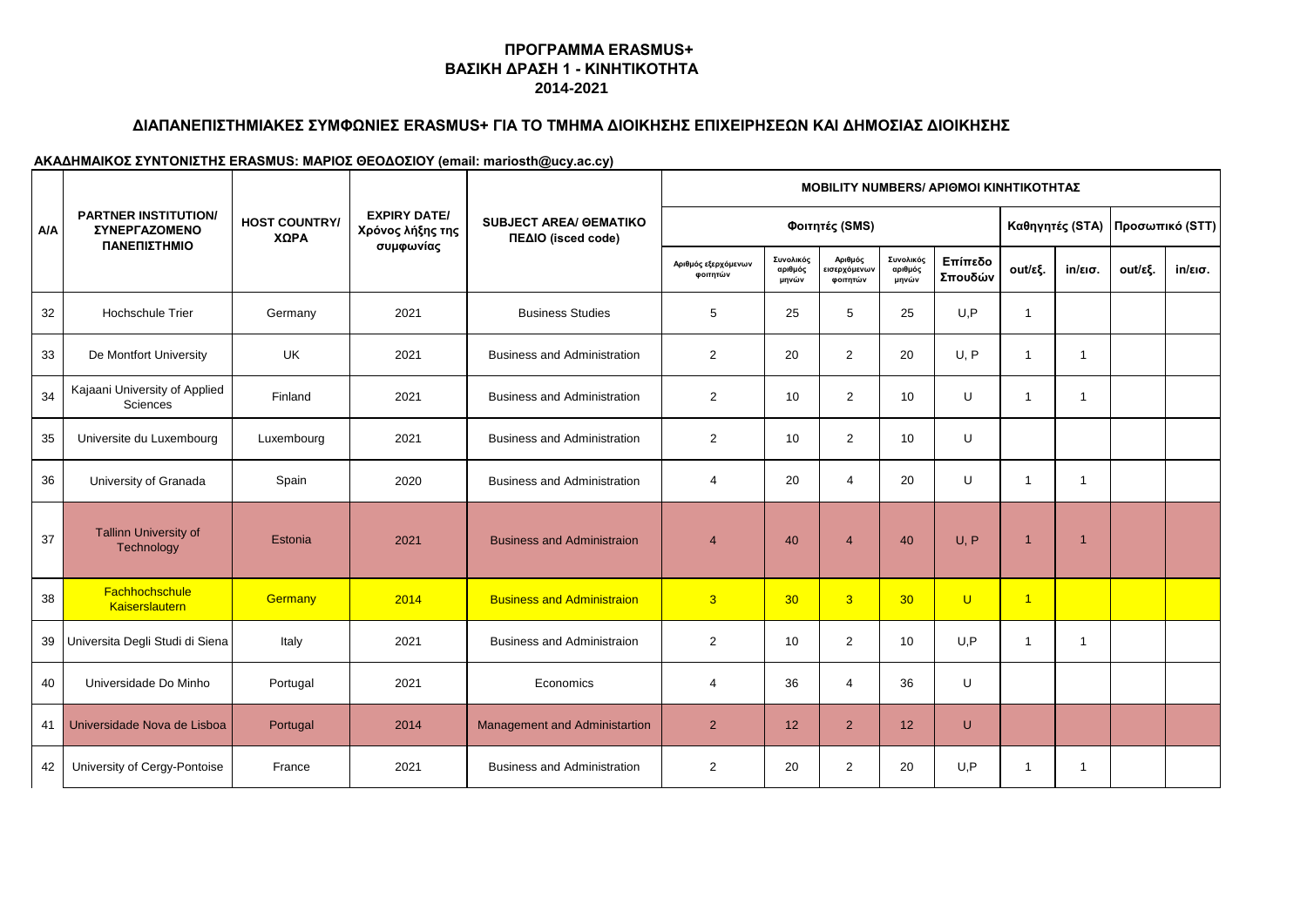# **ΔΙΑΠΑΝΕΠΙΣΤΗΜΙΑΚΕΣ ΣΥΜΦΩΝΙΕΣ ERASMUS+ ΓΙΑ ΤΟ ΤΜΗΜΑ ΔΙΟΙΚΗΣΗΣ ΕΠΙΧΕΙΡΗΣΕΩΝ ΚΑΙ ΔΗΜΟΣΙΑΣ ΔΙΟΙΚΗΣΗΣ**

|            |                                                     |                              |                                                      | <b>SUBJECT AREA/ OEMATIKO</b><br>ΠΕΔΙΟ (isced code) | <b>MOBILITY NUMBERS/ APIOMOI KINHTIKOTHTAZ</b> |                               |                                     |                               |                    |                |                   |                                   |                   |  |
|------------|-----------------------------------------------------|------------------------------|------------------------------------------------------|-----------------------------------------------------|------------------------------------------------|-------------------------------|-------------------------------------|-------------------------------|--------------------|----------------|-------------------|-----------------------------------|-------------------|--|
| <b>A/A</b> | <b>PARTNER INSTITUTION/</b><br><b>ΣΥΝΕΡΓΑΖΟΜΕΝΟ</b> | <b>HOST COUNTRY/</b><br>ΧΩΡΑ | <b>EXPIRY DATE/</b><br>Χρόνος λήξης της<br>συμφωνίας |                                                     | Φοιτητές (SMS)                                 |                               |                                     |                               |                    |                |                   | Καθηγητές (STA)   Προσωπικό (STT) |                   |  |
|            | ΠΑΝΕΠΙΣΤΗΜΙΟ                                        |                              |                                                      |                                                     | Αριθμός εξερχόμενων<br>φοιτητών                | Συνολικός<br>αριθμός<br>μηνών | Αριθμός<br>εισερχόμενων<br>φοιτητών | Συνολικός<br>αριθμός<br>μηνών | Επίπεδο<br>Σπουδών | out/εξ.        | $in/\epsilon$ ισ. | out/εξ.                           | $in/\epsilon$ ισ. |  |
| 32         | <b>Hochschule Trier</b>                             | Germany                      | 2021                                                 | <b>Business Studies</b>                             | 5                                              | 25                            | 5                                   | 25                            | U.P                | $\overline{1}$ |                   |                                   |                   |  |
| 33         | De Montfort University                              | <b>UK</b>                    | 2021                                                 | <b>Business and Administration</b>                  | $\overline{2}$                                 | 20                            | $\overline{2}$                      | 20                            | U.P                | $\overline{1}$ | $\mathbf{1}$      |                                   |                   |  |
| 34         | Kajaani University of Applied<br>Sciences           | Finland                      | 2021                                                 | <b>Business and Administration</b>                  | $\overline{2}$                                 | 10                            | $\mathbf{2}$                        | 10                            | U                  | $\overline{1}$ | $\mathbf{1}$      |                                   |                   |  |
| 35         | Universite du Luxembourg                            | Luxembourg                   | 2021                                                 | <b>Business and Administration</b>                  | $\overline{2}$                                 | 10                            | $\overline{2}$                      | 10                            | U                  |                |                   |                                   |                   |  |
| 36         | University of Granada                               | Spain                        | 2020                                                 | <b>Business and Administration</b>                  | 4                                              | 20                            | $\overline{4}$                      | 20                            | U                  | $\overline{1}$ | $\mathbf{1}$      |                                   |                   |  |
| 37         | <b>Tallinn University of</b><br>Technology          | Estonia                      | 2021                                                 | <b>Business and Administraion</b>                   | $\overline{4}$                                 | 40                            | $\overline{4}$                      | 40                            | U, P               | $\overline{1}$ | $\overline{1}$    |                                   |                   |  |
| 38         | Fachhochschule<br>Kaiserslautern                    | <b>Germany</b>               | 2014                                                 | <b>Business and Administraion</b>                   | $\overline{3}$                                 | 30 <sub>o</sub>               | $\overline{3}$                      | 30 <sup>°</sup>               | $\cup$             | $\overline{1}$ |                   |                                   |                   |  |
| 39         | Universita Degli Studi di Siena                     | Italy                        | 2021                                                 | <b>Business and Administraion</b>                   | $\overline{2}$                                 | 10                            | 2                                   | 10                            | U.P                | $\overline{1}$ | $\mathbf{1}$      |                                   |                   |  |
| 40         | Universidade Do Minho                               | Portugal                     | 2021                                                 | Economics                                           | 4                                              | 36                            | $\overline{4}$                      | 36                            | U                  |                |                   |                                   |                   |  |
| 41         | Universidade Nova de Lisboa                         | Portugal                     | 2014                                                 | Management and Administartion                       | $\overline{2}$                                 | 12                            | $\overline{2}$                      | 12                            | $\cup$             |                |                   |                                   |                   |  |
| 42         | University of Cergy-Pontoise                        | France                       | 2021                                                 | <b>Business and Administration</b>                  | 2                                              | 20                            | 2                                   | 20                            | U.P                | $\overline{1}$ | -1                |                                   |                   |  |